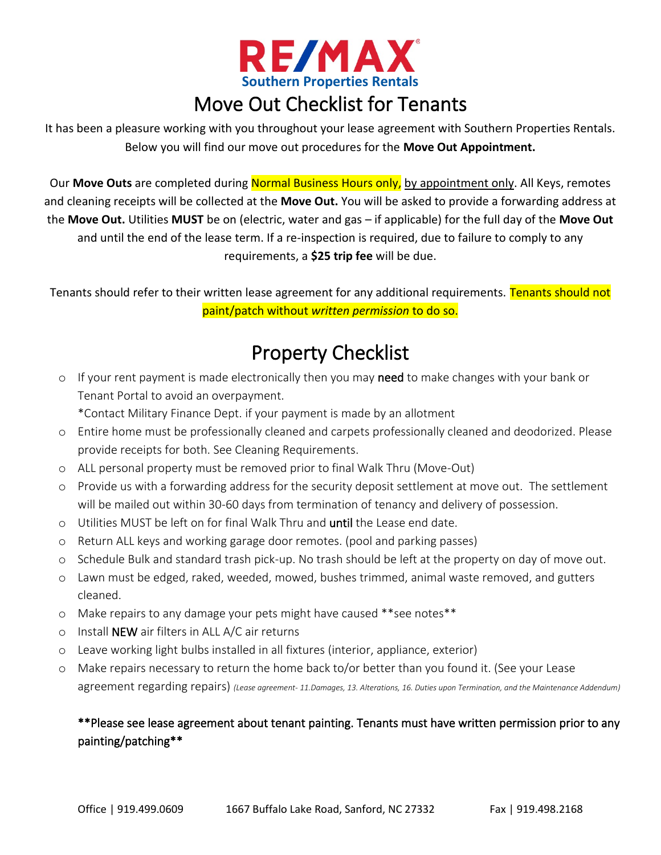

## Move Out Checklist for Tenants

It has been a pleasure working with you throughout your lease agreement with Southern Properties Rentals. Below you will find our move out procedures for the **Move Out Appointment.**

Our **Move Outs** are completed during Normal Business Hours only, by appointment only. All Keys, remotes and cleaning receipts will be collected at the **Move Out.** You will be asked to provide a forwarding address at the **Move Out.** Utilities **MUST** be on (electric, water and gas – if applicable) for the full day of the **Move Out**  and until the end of the lease term. If a re-inspection is required, due to failure to comply to any requirements, a **\$25 trip fee** will be due.

Tenants should refer to their written lease agreement for any additional requirements. Tenants should not paint/patch without *written permission* to do so.

# Property Checklist

o If your rent payment is made electronically then you may need to make changes with your bank or Tenant Portal to avoid an overpayment.

\*Contact Military Finance Dept. if your payment is made by an allotment

- o Entire home must be professionally cleaned and carpets professionally cleaned and deodorized. Please provide receipts for both. See Cleaning Requirements.
- o ALL personal property must be removed prior to final Walk Thru (Move-Out)
- o Provide us with a forwarding address for the security deposit settlement at move out. The settlement will be mailed out within 30-60 days from termination of tenancy and delivery of possession.
- o Utilities MUST be left on for final Walk Thru and until the Lease end date.
- o Return ALL keys and working garage door remotes. (pool and parking passes)
- o Schedule Bulk and standard trash pick-up. No trash should be left at the property on day of move out.
- o Lawn must be edged, raked, weeded, mowed, bushes trimmed, animal waste removed, and gutters cleaned.
- o Make repairs to any damage your pets might have caused \*\*see notes\*\*
- o Install NEW air filters in ALL A/C air returns
- o Leave working light bulbs installed in all fixtures (interior, appliance, exterior)
- o Make repairs necessary to return the home back to/or better than you found it. (See your Lease agreement regarding repairs) *(Lease agreement- 11.Damages, 13. Alterations, 16. Duties upon Termination, and the Maintenance Addendum)*

### \*\*Please see lease agreement about tenant painting. Tenants must have written permission prior to any painting/patching\*\*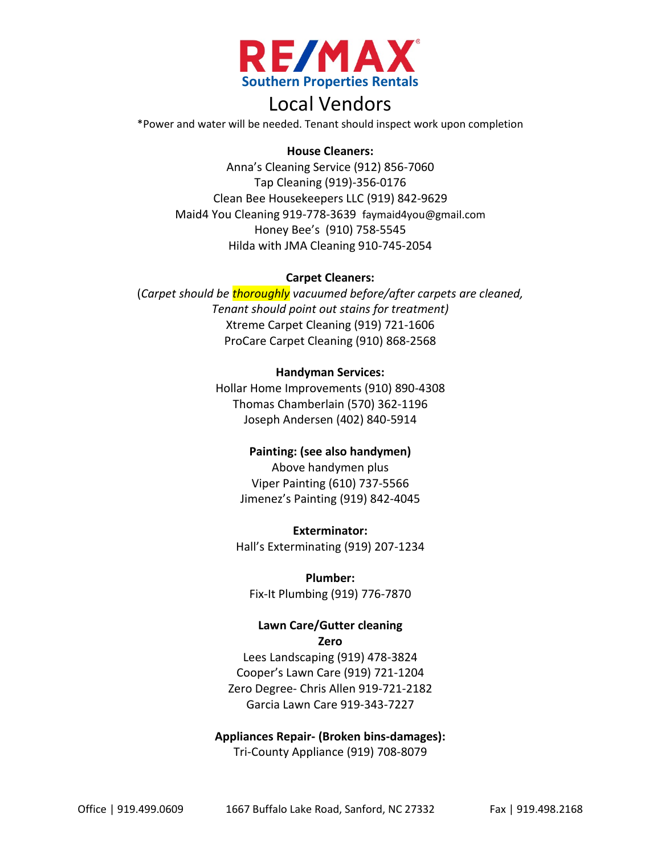

### Local Vendors

\*Power and water will be needed. Tenant should inspect work upon completion

#### **House Cleaners:**

Anna's Cleaning Service (912) 856-7060 Tap Cleaning (919)-356-0176 Clean Bee Housekeepers LLC (919) 842-9629 Maid4 You Cleaning 919-778-3639 faymaid4you@gmail.com Honey Bee's (910) 758-5545 Hilda with JMA Cleaning 910-745-2054

#### **Carpet Cleaners:**

(*Carpet should be thoroughly vacuumed before/after carpets are cleaned, Tenant should point out stains for treatment)* Xtreme Carpet Cleaning (919) 721-1606 ProCare Carpet Cleaning (910) 868-2568

#### **Handyman Services:**

Hollar Home Improvements (910) 890-4308 Thomas Chamberlain (570) 362-1196 Joseph Andersen (402) 840-5914

#### **Painting: (see also handymen)**

Above handymen plus Viper Painting (610) 737-5566 Jimenez's Painting (919) 842-4045

**Exterminator:** Hall's Exterminating (919) 207-1234

#### **Plumber:**

Fix-It Plumbing (919) 776-7870

#### **Lawn Care/Gutter cleaning Zero**

Lees Landscaping (919) 478-3824 Cooper's Lawn Care (919) 721-1204 Zero Degree- Chris Allen 919-721-2182 Garcia Lawn Care 919-343-7227

#### **Appliances Repair- (Broken bins-damages):** Tri-County Appliance (919) 708-8079